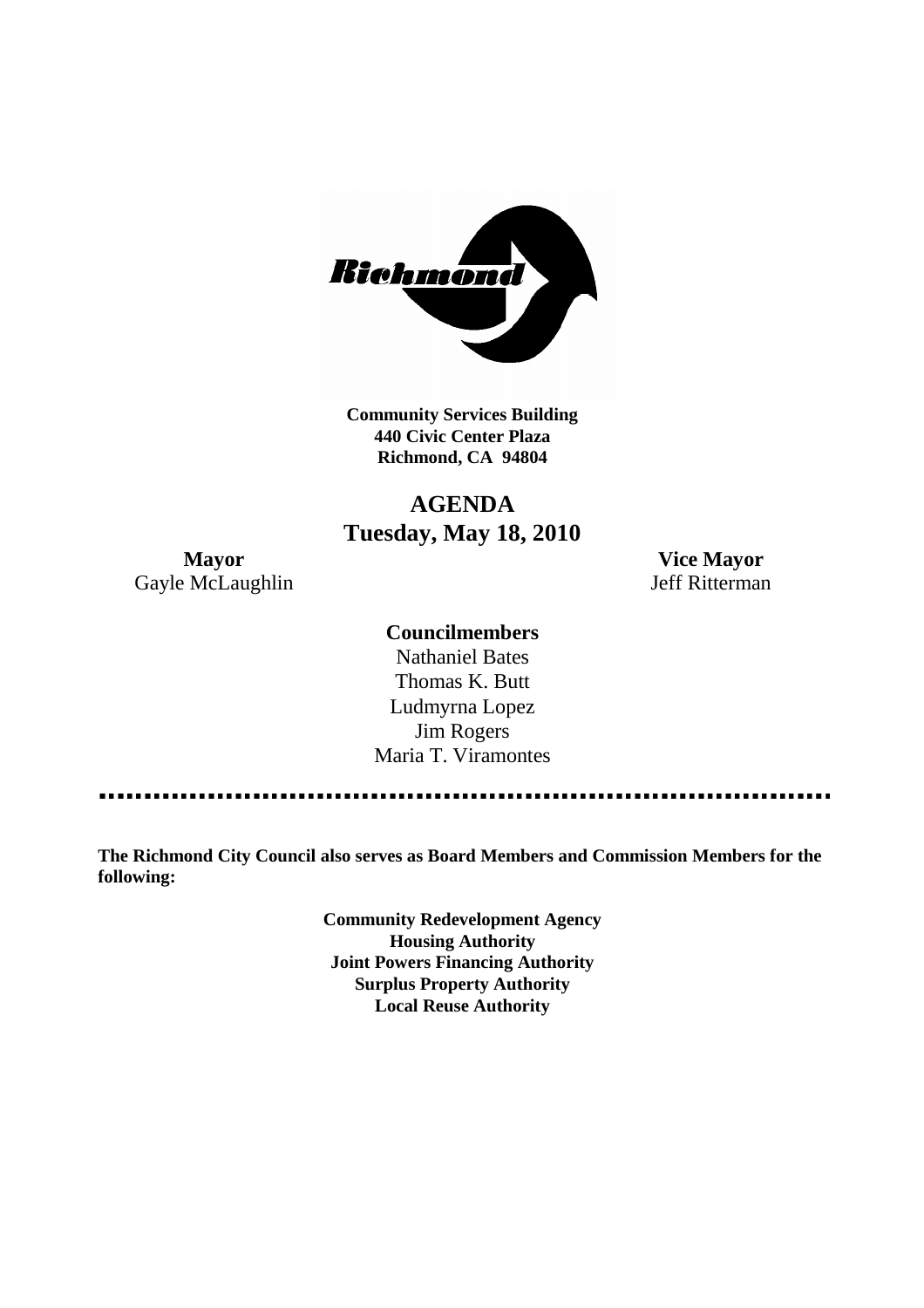

**Community Services Building 440 Civic Center Plaza Richmond, CA 94804**

## **AGENDA Tuesday, May 18, 2010**

**Mayor Vice Mayor** Gayle McLaughlin Jeff Ritterman

#### **Councilmembers**

Nathaniel Bates Thomas K. Butt Ludmyrna Lopez Jim Rogers Maria T. Viramontes

**The Richmond City Council also serves as Board Members and Commission Members for the following:**

> **Community Redevelopment Agency Housing Authority Joint Powers Financing Authority Surplus Property Authority Local Reuse Authority**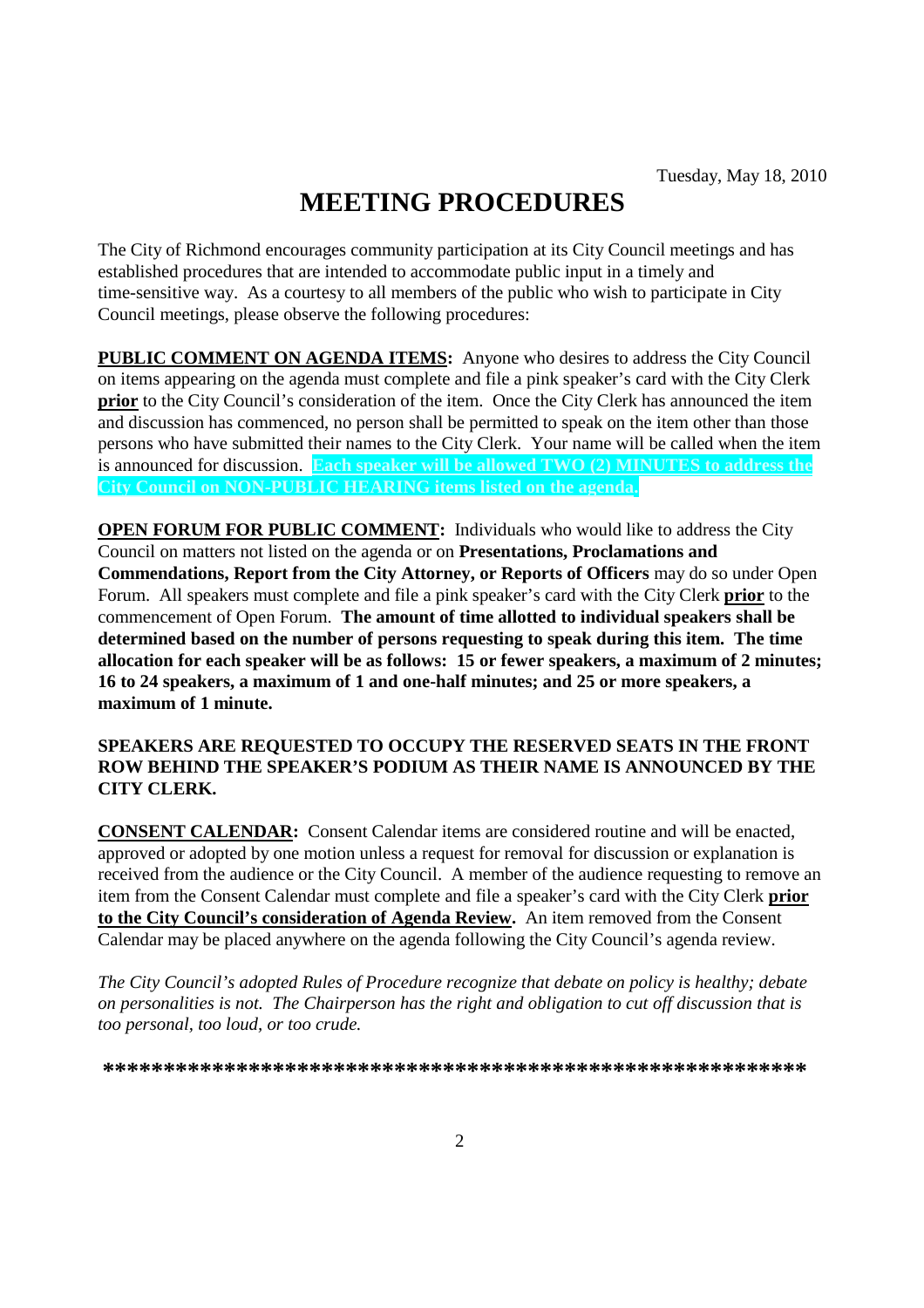# **MEETING PROCEDURES**

The City of Richmond encourages community participation at its City Council meetings and has established procedures that are intended to accommodate public input in a timely and time-sensitive way. As a courtesy to all members of the public who wish to participate in City Council meetings, please observe the following procedures:

**PUBLIC COMMENT ON AGENDA ITEMS:** Anyone who desires to address the City Council on items appearing on the agenda must complete and file a pink speaker's card with the City Clerk **prior** to the City Council's consideration of the item. Once the City Clerk has announced the item and discussion has commenced, no person shall be permitted to speak on the item other than those persons who have submitted their names to the City Clerk. Your name will be called when the item is announced for discussion. **Each speaker will be allowed TWO (2) MINUTES to address the City Council on NON-PUBLIC HEARING items listed on the agenda.**

**OPEN FORUM FOR PUBLIC COMMENT:** Individuals who would like to address the City Council on matters not listed on the agenda or on **Presentations, Proclamations and Commendations, Report from the City Attorney, or Reports of Officers** may do so under Open Forum. All speakers must complete and file a pink speaker's card with the City Clerk **prior** to the commencement of Open Forum. **The amount of time allotted to individual speakers shall be determined based on the number of persons requesting to speak during this item. The time allocation for each speaker will be as follows: 15 or fewer speakers, a maximum of 2 minutes; 16 to 24 speakers, a maximum of 1 and one-half minutes; and 25 or more speakers, a maximum of 1 minute.**

#### **SPEAKERS ARE REQUESTED TO OCCUPY THE RESERVED SEATS IN THE FRONT ROW BEHIND THE SPEAKER'S PODIUM AS THEIR NAME IS ANNOUNCED BY THE CITY CLERK.**

**CONSENT CALENDAR:** Consent Calendar items are considered routine and will be enacted, approved or adopted by one motion unless a request for removal for discussion or explanation is received from the audience or the City Council. A member of the audience requesting to remove an item from the Consent Calendar must complete and file a speaker's card with the City Clerk **prior to the City Council's consideration of Agenda Review.** An item removed from the Consent Calendar may be placed anywhere on the agenda following the City Council's agenda review.

*The City Council's adopted Rules of Procedure recognize that debate on policy is healthy; debate on personalities is not. The Chairperson has the right and obligation to cut off discussion that is too personal, too loud, or too crude.*

**\*\*\*\*\*\*\*\*\*\*\*\*\*\*\*\*\*\*\*\*\*\*\*\*\*\*\*\*\*\*\*\*\*\*\*\*\*\*\*\*\*\*\*\*\*\*\*\*\*\*\*\*\*\*\*\*\*\***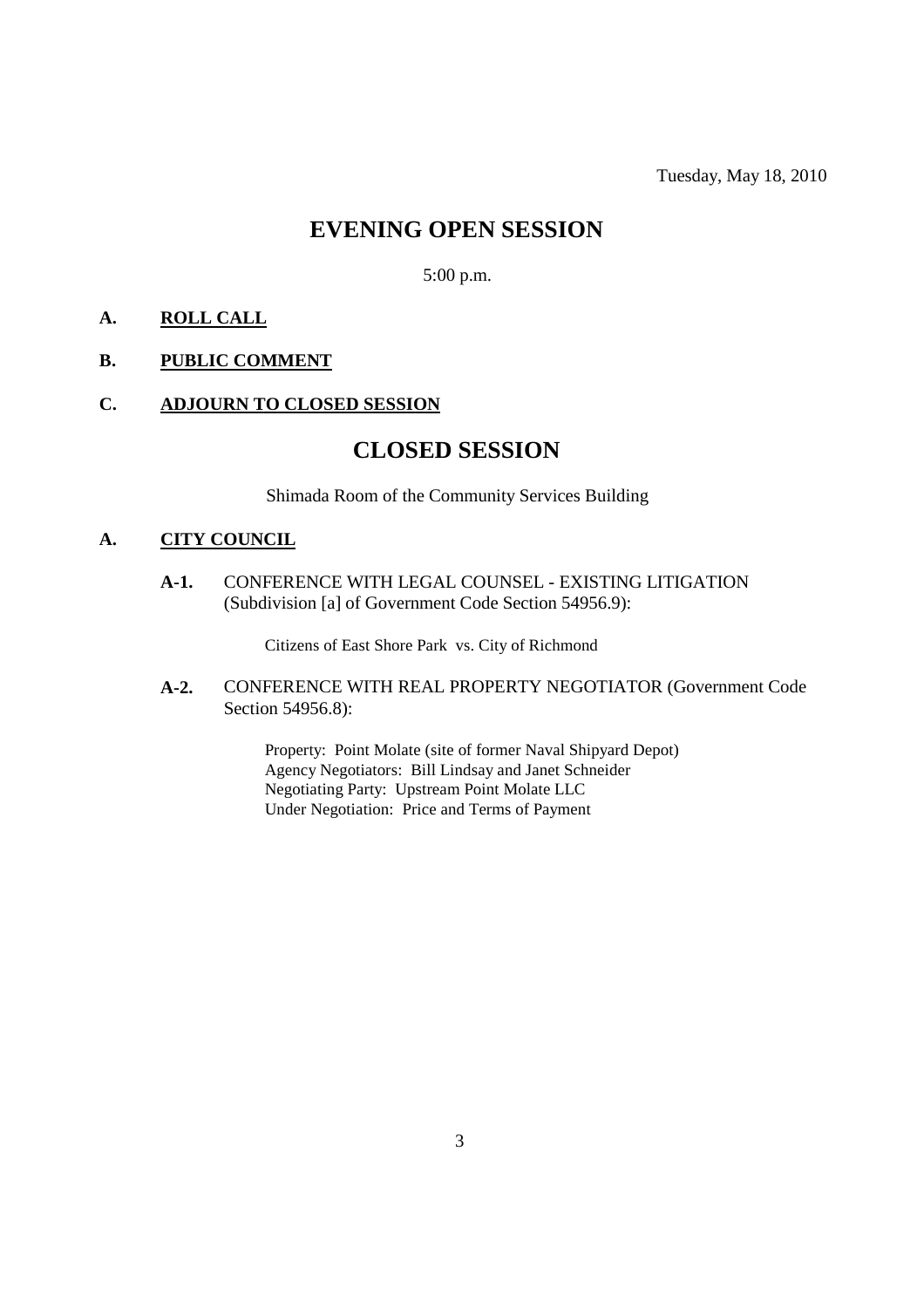## **EVENING OPEN SESSION**

5:00 p.m.

#### **A. ROLL CALL**

#### **B. PUBLIC COMMENT**

#### **C. ADJOURN TO CLOSED SESSION**

### **CLOSED SESSION**

Shimada Room of the Community Services Building

#### **A. CITY COUNCIL**

**A-1.** CONFERENCE WITH LEGAL COUNSEL - EXISTING LITIGATION (Subdivision [a] of Government Code Section 54956.9):

Citizens of East Shore Park vs. City of Richmond

**A-2.** CONFERENCE WITH REAL PROPERTY NEGOTIATOR (Government Code Section 54956.8):

> Property: Point Molate (site of former Naval Shipyard Depot) Agency Negotiators: Bill Lindsay and Janet Schneider Negotiating Party: Upstream Point Molate LLC Under Negotiation: Price and Terms of Payment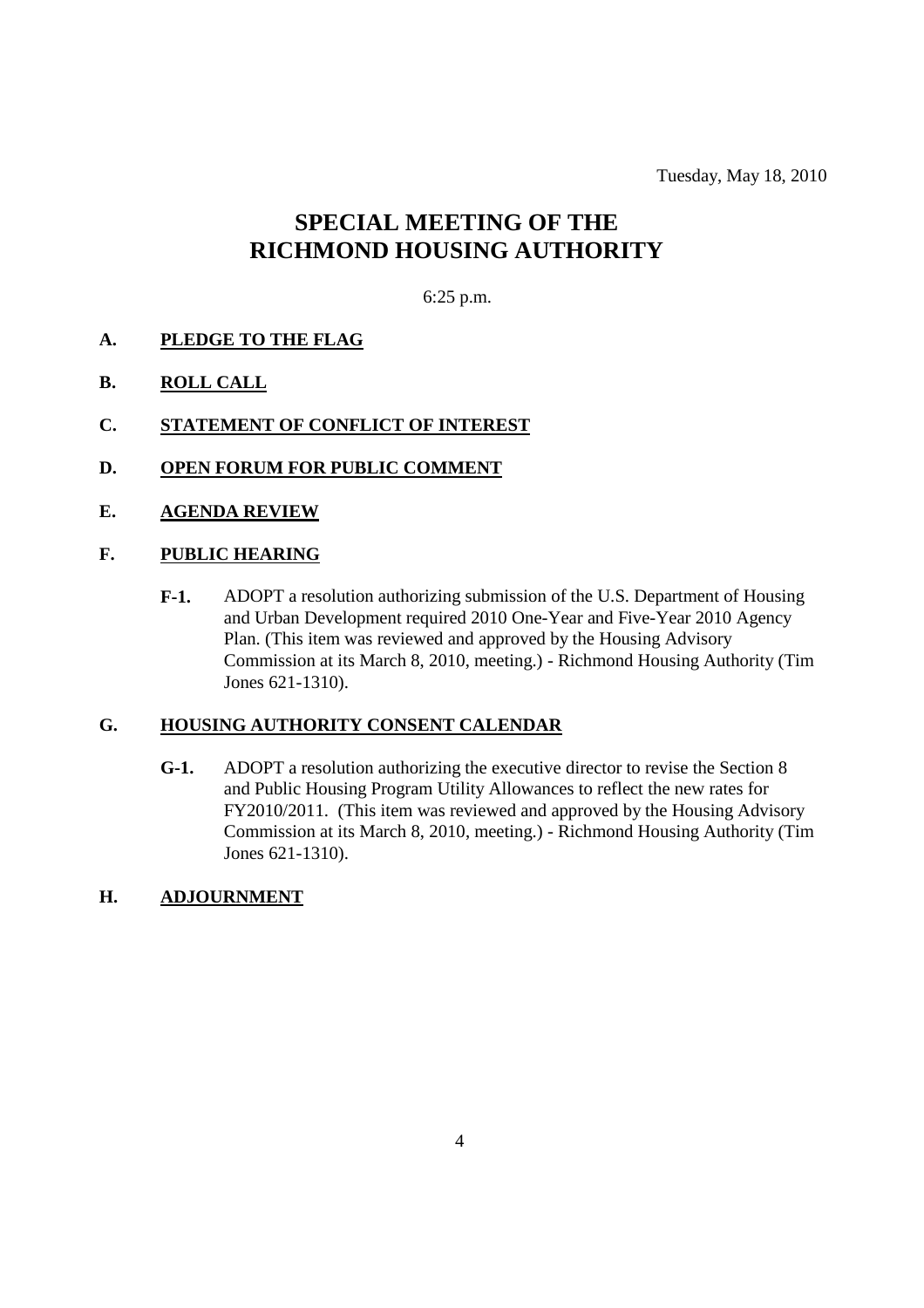Tuesday, May 18, 2010

## **SPECIAL MEETING OF THE RICHMOND HOUSING AUTHORITY**

#### 6:25 p.m.

- **A. PLEDGE TO THE FLAG**
- **B. ROLL CALL**
- **C. STATEMENT OF CONFLICT OF INTEREST**
- **D. OPEN FORUM FOR PUBLIC COMMENT**
- **E. AGENDA REVIEW**

#### **F. PUBLIC HEARING**

**F-1.** ADOPT a resolution authorizing submission of the U.S. Department of Housing and Urban Development required 2010 One-Year and Five-Year 2010 Agency Plan. (This item was reviewed and approved by the Housing Advisory Commission at its March 8, 2010, meeting.) - Richmond Housing Authority (Tim Jones 621-1310).

#### **G. HOUSING AUTHORITY CONSENT CALENDAR**

**G-1.** ADOPT a resolution authorizing the executive director to revise the Section 8 and Public Housing Program Utility Allowances to reflect the new rates for FY2010/2011. (This item was reviewed and approved by the Housing Advisory Commission at its March 8, 2010, meeting.) - Richmond Housing Authority (Tim Jones 621-1310).

#### **H. ADJOURNMENT**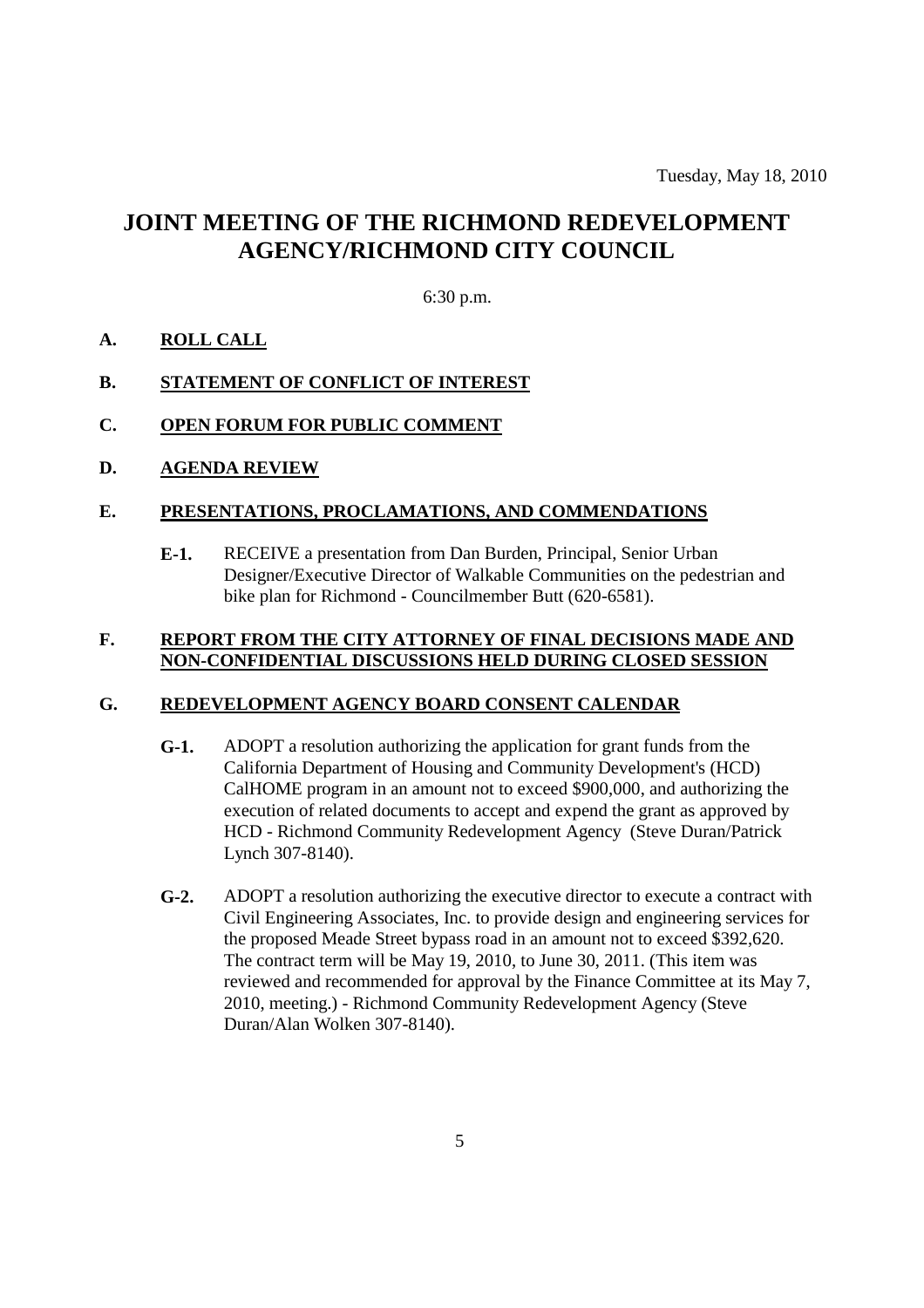## **JOINT MEETING OF THE RICHMOND REDEVELOPMENT AGENCY/RICHMOND CITY COUNCIL**

6:30 p.m.

#### **A. ROLL CALL**

#### **B. STATEMENT OF CONFLICT OF INTEREST**

#### **C. OPEN FORUM FOR PUBLIC COMMENT**

**D. AGENDA REVIEW**

#### **E. PRESENTATIONS, PROCLAMATIONS, AND COMMENDATIONS**

**E-1.** RECEIVE a presentation from Dan Burden, Principal, Senior Urban Designer/Executive Director of Walkable Communities on the pedestrian and bike plan for Richmond - Councilmember Butt (620-6581).

#### **F. REPORT FROM THE CITY ATTORNEY OF FINAL DECISIONS MADE AND NON-CONFIDENTIAL DISCUSSIONS HELD DURING CLOSED SESSION**

#### **G. REDEVELOPMENT AGENCY BOARD CONSENT CALENDAR**

- **G-1.** ADOPT a resolution authorizing the application for grant funds from the California Department of Housing and Community Development's (HCD) CalHOME program in an amount not to exceed \$900,000, and authorizing the execution of related documents to accept and expend the grant as approved by HCD - Richmond Community Redevelopment Agency (Steve Duran/Patrick Lynch 307-8140).
- **G-2.** ADOPT a resolution authorizing the executive director to execute a contract with Civil Engineering Associates, Inc. to provide design and engineering services for the proposed Meade Street bypass road in an amount not to exceed \$392,620. The contract term will be May 19, 2010, to June 30, 2011. (This item was reviewed and recommended for approval by the Finance Committee at its May 7, 2010, meeting.) - Richmond Community Redevelopment Agency (Steve Duran/Alan Wolken 307-8140).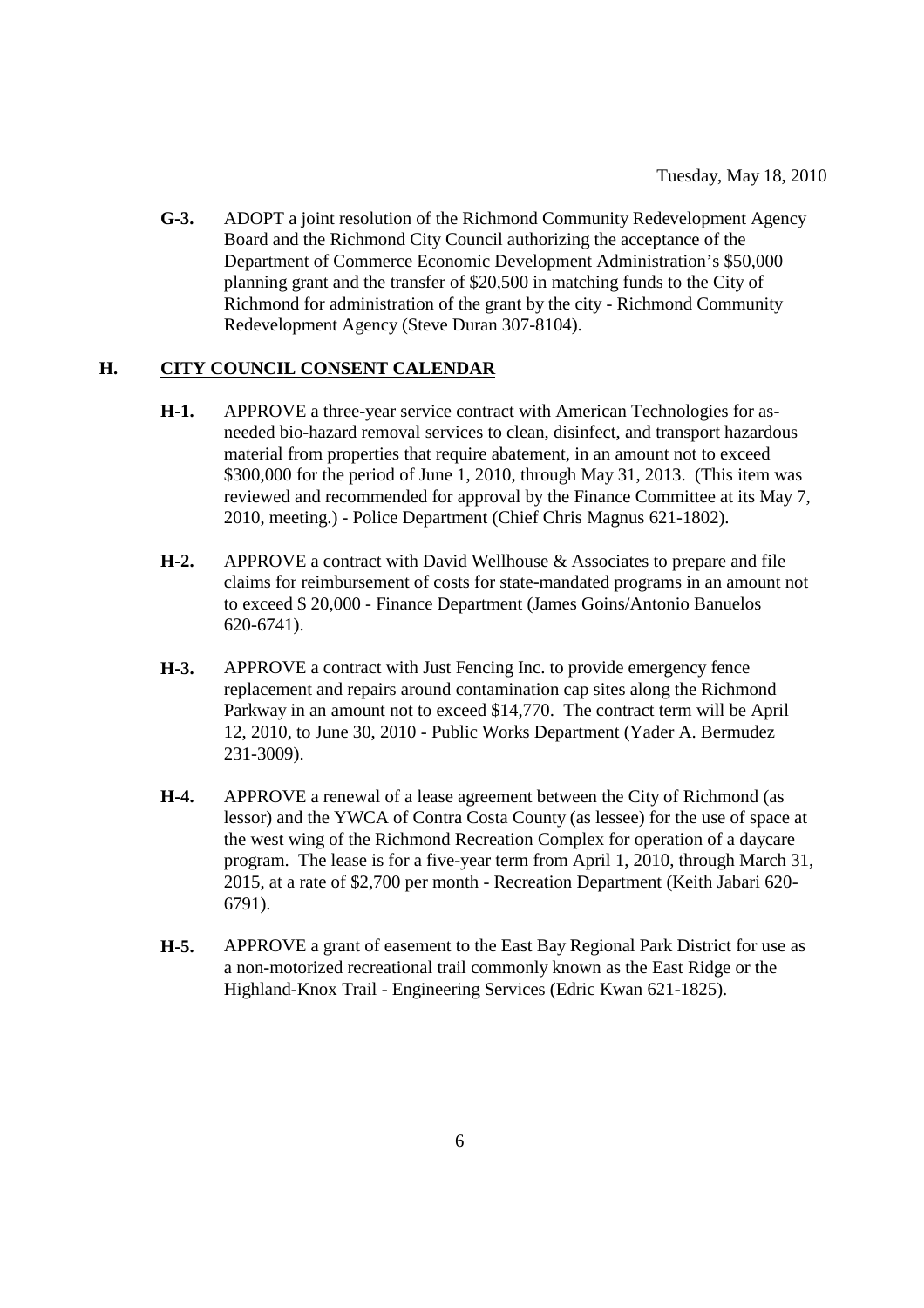**G-3.** ADOPT a joint resolution of the Richmond Community Redevelopment Agency Board and the Richmond City Council authorizing the acceptance of the Department of Commerce Economic Development Administration's \$50,000 planning grant and the transfer of \$20,500 in matching funds to the City of Richmond for administration of the grant by the city - Richmond Community Redevelopment Agency (Steve Duran 307-8104).

#### **H. CITY COUNCIL CONSENT CALENDAR**

- **H-1.** APPROVE a three-year service contract with American Technologies for asneeded bio-hazard removal services to clean, disinfect, and transport hazardous material from properties that require abatement, in an amount not to exceed \$300,000 for the period of June 1, 2010, through May 31, 2013. (This item was reviewed and recommended for approval by the Finance Committee at its May 7, 2010, meeting.) - Police Department (Chief Chris Magnus 621-1802).
- **H-2.** APPROVE a contract with David Wellhouse & Associates to prepare and file claims for reimbursement of costs for state-mandated programs in an amount not to exceed \$ 20,000 - Finance Department (James Goins/Antonio Banuelos 620-6741).
- **H-3.** APPROVE a contract with Just Fencing Inc. to provide emergency fence replacement and repairs around contamination cap sites along the Richmond Parkway in an amount not to exceed \$14,770. The contract term will be April 12, 2010, to June 30, 2010 - Public Works Department (Yader A. Bermudez 231-3009).
- **H-4.** APPROVE a renewal of a lease agreement between the City of Richmond (as lessor) and the YWCA of Contra Costa County (as lessee) for the use of space at the west wing of the Richmond Recreation Complex for operation of a daycare program. The lease is for a five-year term from April 1, 2010, through March 31, 2015, at a rate of \$2,700 per month - Recreation Department (Keith Jabari 620- 6791).
- **H-5.** APPROVE a grant of easement to the East Bay Regional Park District for use as a non-motorized recreational trail commonly known as the East Ridge or the Highland-Knox Trail - Engineering Services (Edric Kwan 621-1825).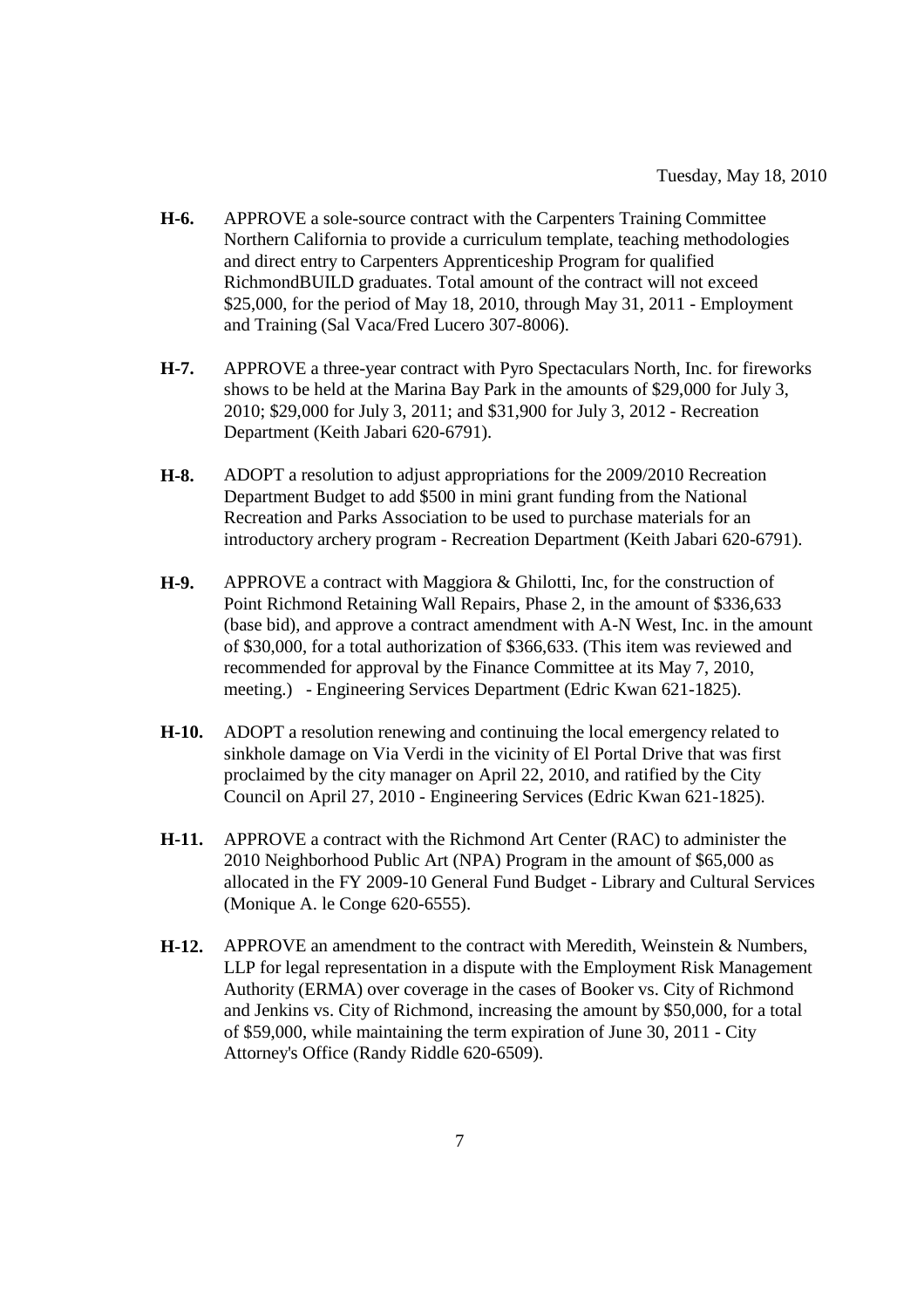- **H-6.** APPROVE a sole-source contract with the Carpenters Training Committee Northern California to provide a curriculum template, teaching methodologies and direct entry to Carpenters Apprenticeship Program for qualified RichmondBUILD graduates. Total amount of the contract will not exceed \$25,000, for the period of May 18, 2010, through May 31, 2011 - Employment and Training (Sal Vaca/Fred Lucero 307-8006).
- **H-7.** APPROVE a three-year contract with Pyro Spectaculars North, Inc. for fireworks shows to be held at the Marina Bay Park in the amounts of \$29,000 for July 3, 2010; \$29,000 for July 3, 2011; and \$31,900 for July 3, 2012 - Recreation Department (Keith Jabari 620-6791).
- **H-8.** ADOPT a resolution to adjust appropriations for the 2009/2010 Recreation Department Budget to add \$500 in mini grant funding from the National Recreation and Parks Association to be used to purchase materials for an introductory archery program - Recreation Department (Keith Jabari 620-6791).
- **H-9.** APPROVE a contract with Maggiora & Ghilotti, Inc, for the construction of Point Richmond Retaining Wall Repairs, Phase 2, in the amount of \$336,633 (base bid), and approve a contract amendment with A-N West, Inc. in the amount of \$30,000, for a total authorization of \$366,633. (This item was reviewed and recommended for approval by the Finance Committee at its May 7, 2010, meeting.) - Engineering Services Department (Edric Kwan 621-1825).
- **H-10.** ADOPT a resolution renewing and continuing the local emergency related to sinkhole damage on Via Verdi in the vicinity of El Portal Drive that was first proclaimed by the city manager on April 22, 2010, and ratified by the City Council on April 27, 2010 - Engineering Services (Edric Kwan 621-1825).
- **H-11.** APPROVE a contract with the Richmond Art Center (RAC) to administer the 2010 Neighborhood Public Art (NPA) Program in the amount of \$65,000 as allocated in the FY 2009-10 General Fund Budget - Library and Cultural Services (Monique A. le Conge 620-6555).
- **H-12.** APPROVE an amendment to the contract with Meredith, Weinstein & Numbers, LLP for legal representation in a dispute with the Employment Risk Management Authority (ERMA) over coverage in the cases of Booker vs. City of Richmond and Jenkins vs. City of Richmond, increasing the amount by \$50,000, for a total of \$59,000, while maintaining the term expiration of June 30, 2011 - City Attorney's Office (Randy Riddle 620-6509).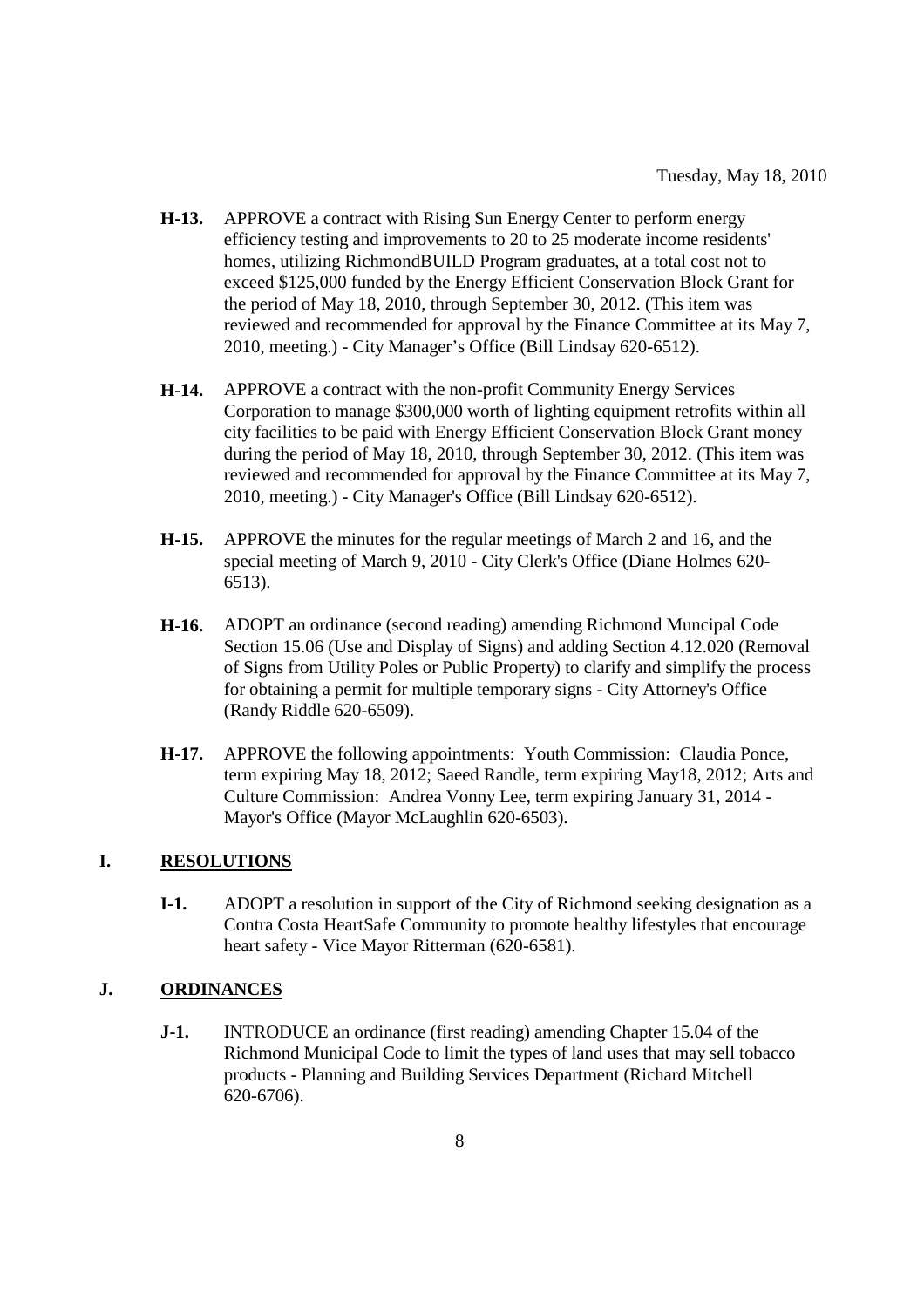- **H-13.** APPROVE a contract with Rising Sun Energy Center to perform energy efficiency testing and improvements to 20 to 25 moderate income residents' homes, utilizing RichmondBUILD Program graduates, at a total cost not to exceed \$125,000 funded by the Energy Efficient Conservation Block Grant for the period of May 18, 2010, through September 30, 2012. (This item was reviewed and recommended for approval by the Finance Committee at its May 7, 2010, meeting.) - City Manager's Office (Bill Lindsay 620-6512).
- **H-14.** APPROVE a contract with the non-profit Community Energy Services Corporation to manage \$300,000 worth of lighting equipment retrofits within all city facilities to be paid with Energy Efficient Conservation Block Grant money during the period of May 18, 2010, through September 30, 2012. (This item was reviewed and recommended for approval by the Finance Committee at its May 7, 2010, meeting.) - City Manager's Office (Bill Lindsay 620-6512).
- **H-15.** APPROVE the minutes for the regular meetings of March 2 and 16, and the special meeting of March 9, 2010 - City Clerk's Office (Diane Holmes 620- 6513).
- **H-16.** ADOPT an ordinance (second reading) amending Richmond Muncipal Code Section 15.06 (Use and Display of Signs) and adding Section 4.12.020 (Removal of Signs from Utility Poles or Public Property) to clarify and simplify the process for obtaining a permit for multiple temporary signs - City Attorney's Office (Randy Riddle 620-6509).
- **H-17.** APPROVE the following appointments: Youth Commission: Claudia Ponce, term expiring May 18, 2012; Saeed Randle, term expiring May18, 2012; Arts and Culture Commission: Andrea Vonny Lee, term expiring January 31, 2014 - Mayor's Office (Mayor McLaughlin 620-6503).

#### **I. RESOLUTIONS**

**I-1.** ADOPT a resolution in support of the City of Richmond seeking designation as a Contra Costa HeartSafe Community to promote healthy lifestyles that encourage heart safety - Vice Mayor Ritterman (620-6581).

#### **J. ORDINANCES**

**J-1.** INTRODUCE an ordinance (first reading) amending Chapter 15.04 of the Richmond Municipal Code to limit the types of land uses that may sell tobacco products - Planning and Building Services Department (Richard Mitchell 620-6706).